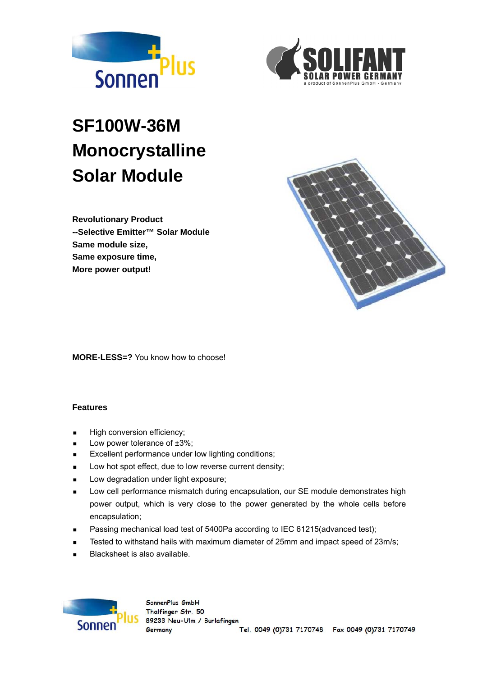



# **SF100W-36M Monocrystalline Solar Module**

**Revolutionary Product --Selective Emitter™ Solar Module Same module size, Same exposure time, More power output!** 



**MORE-LESS=?** You know how to choose!

#### **Features**

- **High conversion efficiency;**
- **Low power tolerance of**  $\pm 3\%$ **;**
- **Excellent performance under low lighting conditions;**
- **Low hot spot effect, due to low reverse current density;**
- **Low degradation under light exposure;**
- **Low cell performance mismatch during encapsulation, our SE module demonstrates high** power output, which is very close to the power generated by the whole cells before encapsulation;
- **Passing mechanical load test of 5400Pa according to IEC 61215(advanced test);**
- Tested to withstand hails with maximum diameter of 25mm and impact speed of 23m/s;
- Blacksheet is also available.

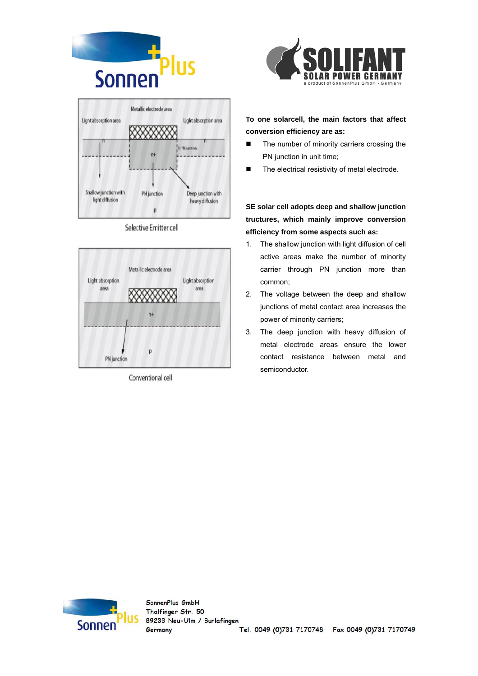



#### Selective Emitter cell



Conventional cell



### **To one solarcell, the main factors that affect conversion efficiency are as:**

- The number of minority carriers crossing the PN junction in unit time;
- The electrical resistivity of metal electrode.

**SE solar cell adopts deep and shallow junction tructures, which mainly improve conversion efficiency from some aspects such as:** 

- 1. The shallow junction with light diffusion of cell active areas make the number of minority carrier through PN junction more than common;
- 2. The voltage between the deep and shallow junctions of metal contact area increases the power of minority carriers;
- 3. The deep junction with heavy diffusion of metal electrode areas ensure the lower contact resistance between metal and semiconductor.

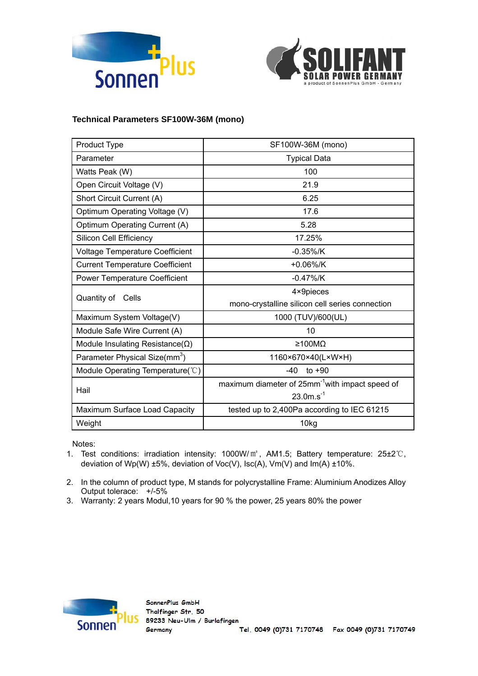



### **Technical Parameters SF100W-36M (mono)**

| Product Type                              | SF100W-36M (mono)                                           |  |
|-------------------------------------------|-------------------------------------------------------------|--|
| Parameter                                 | <b>Typical Data</b>                                         |  |
| Watts Peak (W)                            | 100                                                         |  |
| Open Circuit Voltage (V)                  | 21.9                                                        |  |
| Short Circuit Current (A)                 | 6.25                                                        |  |
| Optimum Operating Voltage (V)             | 17.6                                                        |  |
| Optimum Operating Current (A)             | 5.28                                                        |  |
| Silicon Cell Efficiency                   | 17.25%                                                      |  |
| <b>Voltage Temperature Coefficient</b>    | $-0.35\%$ /K                                                |  |
| <b>Current Temperature Coefficient</b>    | $+0.06\%$ /K                                                |  |
| <b>Power Temperature Coefficient</b>      | $-0.47\%$ /K                                                |  |
| Quantity of Cells                         | 4×9pieces                                                   |  |
|                                           | mono-crystalline silicon cell series connection             |  |
| Maximum System Voltage(V)                 | 1000 (TUV)/600(UL)                                          |  |
| Module Safe Wire Current (A)              | 10                                                          |  |
| Module Insulating Resistance( $\Omega$ )  | ≥100MΩ                                                      |  |
| Parameter Physical Size(mm <sup>3</sup> ) | 1160×670×40(L×W×H)                                          |  |
| Module Operating Temperature(°C)          | $-40$<br>to $+90$                                           |  |
| Hail                                      | maximum diameter of 25mm <sup>-1</sup> with impact speed of |  |
|                                           | $23.0m.s-1$                                                 |  |
| Maximum Surface Load Capacity             | tested up to 2,400Pa according to IEC 61215                 |  |
| Weight                                    | 10kg                                                        |  |

Notes:

- 1. Test conditions: irradiation intensity: 1000W/㎡, AM1.5; Battery temperature: 25±2℃, deviation of Wp(W)  $\pm 5\%$ , deviation of Voc(V), Isc(A), Vm(V) and Im(A)  $\pm 10\%$ .
- 2. In the column of product type, M stands for polycrystalline Frame: Aluminium Anodizes Alloy Output tolerace: +/-5%
- 3. Warranty: 2 years Modul,10 years for 90 % the power, 25 years 80% the power